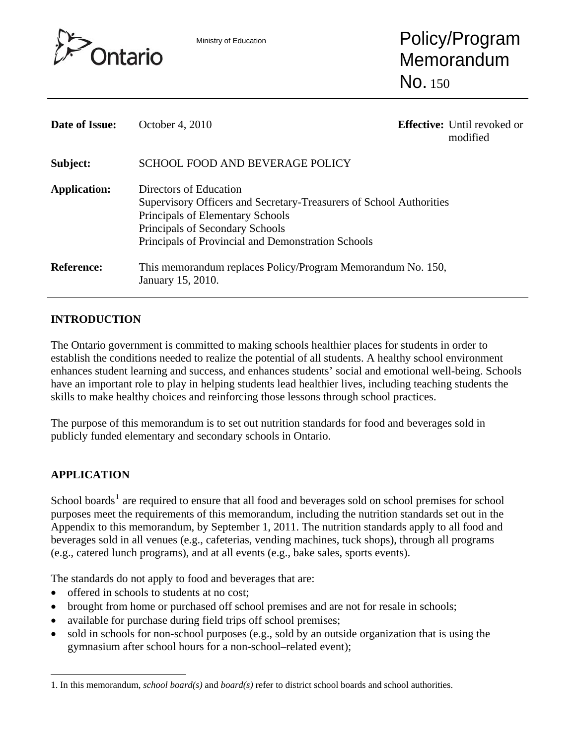

Ministry of Education **Policy/Program** Memorandum No. 150

| Date of Issue:      | October 4, 2010                                                                                                                                                                                                            |  | <b>Effective:</b> Until revoked or<br>modified |
|---------------------|----------------------------------------------------------------------------------------------------------------------------------------------------------------------------------------------------------------------------|--|------------------------------------------------|
| Subject:            | <b>SCHOOL FOOD AND BEVERAGE POLICY</b>                                                                                                                                                                                     |  |                                                |
| <b>Application:</b> | Directors of Education<br>Supervisory Officers and Secretary-Treasurers of School Authorities<br>Principals of Elementary Schools<br>Principals of Secondary Schools<br>Principals of Provincial and Demonstration Schools |  |                                                |
| <b>Reference:</b>   | This memorandum replaces Policy/Program Memorandum No. 150,<br>January 15, 2010.                                                                                                                                           |  |                                                |

# **INTRODUCTION**

The Ontario government is committed to making schools healthier places for students in order to establish the conditions needed to realize the potential of all students. A healthy school environment enhances student learning and success, and enhances students' social and emotional well-being. Schools have an important role to play in helping students lead healthier lives, including teaching students the skills to make healthy choices and reinforcing those lessons through school practices.

The purpose of this memorandum is to set out nutrition standards for food and beverages sold in publicly funded elementary and secondary schools in Ontario.

# **APPLICATION**

l

School boards<sup>[1](#page-0-0)</sup> are required to ensure that all food and beverages sold on school premises for school purposes meet the requirements of this memorandum, including the nutrition standards set out in the Appendix to this memorandum, by September 1, 2011. The nutrition standards apply to all food and beverages sold in all venues (e.g., cafeterias, vending machines, tuck shops), through all programs (e.g., catered lunch programs), and at all events (e.g., bake sales, sports events).

The standards do not apply to food and beverages that are:

- offered in schools to students at no cost;
- brought from home or purchased off school premises and are not for resale in schools;
- available for purchase during field trips off school premises;
- sold in schools for non-school purposes (e.g., sold by an outside organization that is using the gymnasium after school hours for a non-school–related event);

<span id="page-0-0"></span><sup>1.</sup> In this memorandum, *school board(s)* and *board(s)* refer to district school boards and school authorities.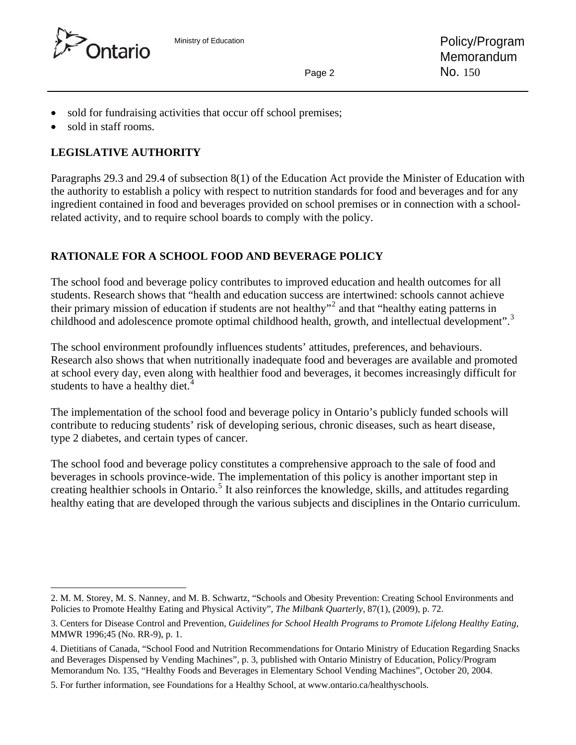



- sold for fundraising activities that occur off school premises;
- sold in staff rooms.

# **LEGISLATIVE AUTHORITY**

Paragraphs 29.3 and 29.4 of subsection 8(1) of the Education Act provide the Minister of Education with the authority to establish a policy with respect to nutrition standards for food and beverages and for any ingredient contained in food and beverages provided on school premises or in connection with a schoolrelated activity, and to require school boards to comply with the policy.

# **RATIONALE FOR A SCHOOL FOOD AND BEVERAGE POLICY**

The school food and beverage policy contributes to improved education and health outcomes for all students. Research shows that "health and education success are intertwined: schools cannot achieve their primary mission of education if students are not healthy"<sup>[2](#page-1-0)</sup> and that "healthy eating patterns in childhood and adolescence promote optimal childhood health, growth, and intellectual development".<sup>[3](#page-1-1)</sup>

The school environment profoundly influences students' attitudes, preferences, and behaviours. Research also shows that when nutritionally inadequate food and beverages are available and promoted at school every day, even along with healthier food and beverages, it becomes increasingly difficult for students to have a healthy diet.<sup>[4](#page-1-2)</sup>

The implementation of the school food and beverage policy in Ontario's publicly funded schools will contribute to reducing students' risk of developing serious, chronic diseases, such as heart disease, type 2 diabetes, and certain types of cancer.

The school food and beverage policy constitutes a comprehensive approach to the sale of food and beverages in schools province-wide. The implementation of this policy is another important step in creating healthier schools in Ontario.<sup>[5](#page-1-3)</sup> It also reinforces the knowledge, skills, and attitudes regarding healthy eating that are developed through the various subjects and disciplines in the Ontario curriculum.

l 2. M. M. Storey, M. S. Nanney, and M. B. Schwartz, "Schools and Obesity Prevention: Creating School Environments and Policies to Promote Healthy Eating and Physical Activity", *The Milbank Quarterly*, 87(1), (2009), p. 72.

<sup>3.</sup> Centers for Disease Control and Prevention, *Guidelines for School Health Programs to Promote Lifelong Healthy Eating,* MMWR 1996;45 (No. RR-9), p. 1.

<sup>4.</sup> Dietitians of Canada, "School Food and Nutrition Recommendations for Ontario Ministry of Education Regarding Snacks and Beverages Dispensed by Vending Machines", p. 3, published with Ontario Ministry of Education, Policy/Program Memorandum No. 135, "Healthy Foods and Beverages in Elementary School Vending Machines", October 20, 2004.

<span id="page-1-3"></span><span id="page-1-2"></span><span id="page-1-1"></span><span id="page-1-0"></span><sup>5.</sup> For further information, see Foundations for a Healthy School, at www.ontario.ca/healthyschools.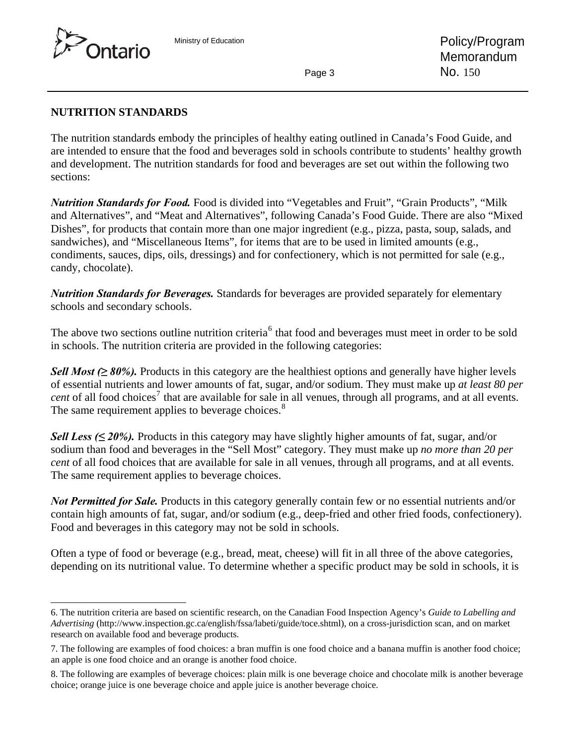<span id="page-2-0"></span>

l

### **NUTRITION STANDARDS**

The nutrition standards embody the principles of healthy eating outlined in Canada's Food Guide, and are intended to ensure that the food and beverages sold in schools contribute to students' healthy growth and development. The nutrition standards for food and beverages are set out within the following two sections:

*Nutrition Standards for Food.* Food is divided into "Vegetables and Fruit", "Grain Products", "Milk and Alternatives", and "Meat and Alternatives", following Canada's Food Guide. There are also "Mixed Dishes", for products that contain more than one major ingredient (e.g., pizza, pasta, soup, salads, and sandwiches), and "Miscellaneous Items", for items that are to be used in limited amounts (e.g., condiments, sauces, dips, oils, dressings) and for confectionery, which is not permitted for sale (e.g., candy, chocolate).

*Nutrition Standards for Beverages.* Standards for beverages are provided separately for elementary schools and secondary schools.

The above two sections outline nutrition criteria<sup>[6](#page-2-0)</sup> that food and beverages must meet in order to be sold in schools. The nutrition criteria are provided in the following categories:

*Sell Most (≥* 80%). Products in this category are the healthiest options and generally have higher levels of essential nutrients and lower amounts of fat, sugar, and/or sodium. They must make up *at least 80 per*   $cent$  of all food choices<sup>[7](#page-2-0)</sup> that are available for sale in all venues, through all programs, and at all events. The same requirement applies to beverage choices.<sup>[8](#page-2-0)</sup>

*Sell Less (* $\leq$  *20%).* Products in this category may have slightly higher amounts of fat, sugar, and/or sodium than food and beverages in the "Sell Most" category. They must make up *no more than 20 per cent* of all food choices that are available for sale in all venues, through all programs, and at all events. The same requirement applies to beverage choices.

*Not Permitted for Sale.* Products in this category generally contain few or no essential nutrients and/or contain high amounts of fat, sugar, and/or sodium (e.g., deep-fried and other fried foods, confectionery). Food and beverages in this category may not be sold in schools.

Often a type of food or beverage (e.g., bread, meat, cheese) will fit in all three of the above categories, depending on its nutritional value. To determine whether a specific product may be sold in schools, it is

<sup>6.</sup> The nutrition criteria are based on scientific research, on the Canadian Food Inspection Agency's *Guide to Labelling and Advertising* (http://www.inspection.gc.ca/english/fssa/labeti/guide/toce.shtml), on a cross-jurisdiction scan, and on market research on available food and beverage products.

<sup>7.</sup> The following are examples of food choices: a bran muffin is one food choice and a banana muffin is another food choice; an apple is one food choice and an orange is another food choice.

<sup>8.</sup> The following are examples of beverage choices: plain milk is one beverage choice and chocolate milk is another beverage choice; orange juice is one beverage choice and apple juice is another beverage choice.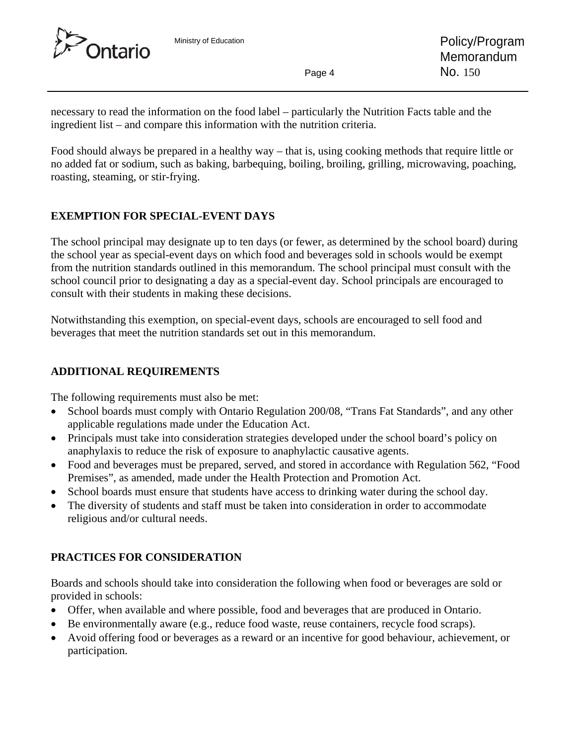

necessary to read the information on the food label – particularly the Nutrition Facts table and the ingredient list – and compare this information with the nutrition criteria.

Food should always be prepared in a healthy way – that is, using cooking methods that require little or no added fat or sodium, such as baking, barbequing, boiling, broiling, grilling, microwaving, poaching, roasting, steaming, or stir-frying.

# **EXEMPTION FOR SPECIAL-EVENT DAYS**

The school principal may designate up to ten days (or fewer, as determined by the school board) during the school year as special-event days on which food and beverages sold in schools would be exempt from the nutrition standards outlined in this memorandum. The school principal must consult with the school council prior to designating a day as a special-event day. School principals are encouraged to consult with their students in making these decisions.

Notwithstanding this exemption, on special-event days, schools are encouraged to sell food and beverages that meet the nutrition standards set out in this memorandum.

# **ADDITIONAL REQUIREMENTS**

The following requirements must also be met:

- School boards must comply with Ontario Regulation 200/08, "Trans Fat Standards", and any other applicable regulations made under the Education Act.
- Principals must take into consideration strategies developed under the school board's policy on anaphylaxis to reduce the risk of exposure to anaphylactic causative agents.
- Food and beverages must be prepared, served, and stored in accordance with Regulation 562, "Food Premises", as amended, made under the Health Protection and Promotion Act.
- School boards must ensure that students have access to drinking water during the school day.
- The diversity of students and staff must be taken into consideration in order to accommodate religious and/or cultural needs.

# **PRACTICES FOR CONSIDERATION**

Boards and schools should take into consideration the following when food or beverages are sold or provided in schools:

- Offer, when available and where possible, food and beverages that are produced in Ontario.
- Be environmentally aware (e.g., reduce food waste, reuse containers, recycle food scraps).
- Avoid offering food or beverages as a reward or an incentive for good behaviour, achievement, or participation.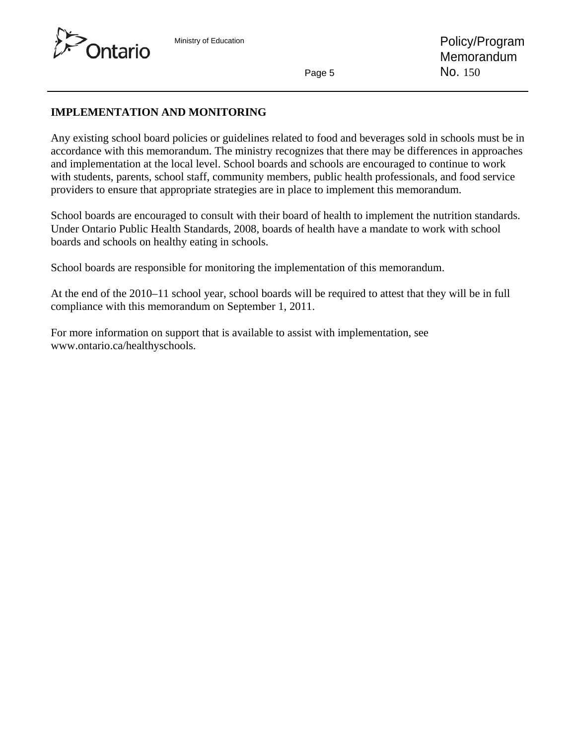

# **IMPLEMENTATION AND MONITORING**

Any existing school board policies or guidelines related to food and beverages sold in schools must be in accordance with this memorandum. The ministry recognizes that there may be differences in approaches and implementation at the local level. School boards and schools are encouraged to continue to work with students, parents, school staff, community members, public health professionals, and food service providers to ensure that appropriate strategies are in place to implement this memorandum.

School boards are encouraged to consult with their board of health to implement the nutrition standards. Under Ontario Public Health Standards, 2008, boards of health have a mandate to work with school boards and schools on healthy eating in schools.

School boards are responsible for monitoring the implementation of this memorandum.

At the end of the 2010–11 school year, school boards will be required to attest that they will be in full compliance with this memorandum on September 1, 2011.

For more information on support that is available to assist with implementation, see www.ontario.ca/healthyschools.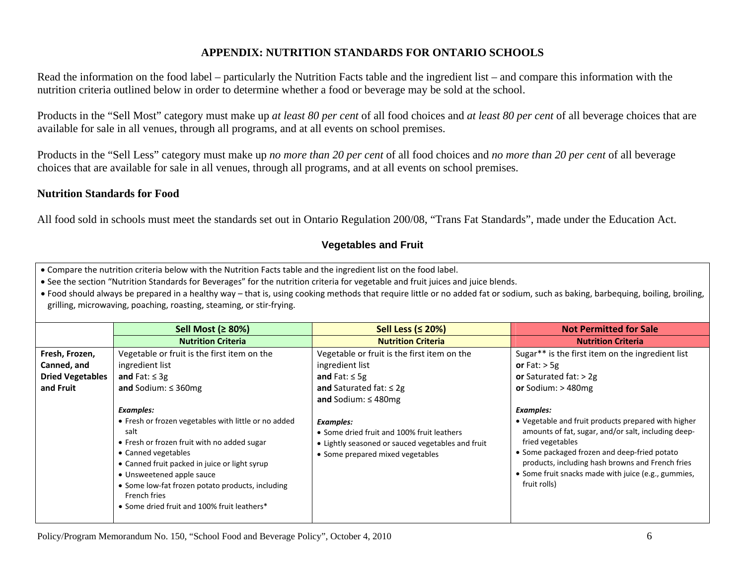# **APPENDIX: NUTRITION STANDARDS FOR ONTARIO SCHOOLS**

Read the information on the food label – particularly the Nutrition Facts table and the ingredient list – and compare this information with the nutrition criteria outlined below in order to determine whether a food or beverage may be sold at the school.

Products in the "Sell Most" category must make up *at least 80 per cent* of all food choices and *at least 80 per cent* of all beverage choices that are available for sale in all venues, through all programs, and at all events on school premises.

Products in the "Sell Less" category must make up *no more than 20 per cent* of all food choices and *no more than 20 per cent* of all beverage choices that are available for sale in all venues, through all programs, and at all events on school premises.

### **Nutrition Standards for Food**

All food sold in schools must meet the standards set out in Ontario Regulation 200/08, "Trans Fat Standards", made under the Education Act.

### **Vegetables and Fruit**

• Compare the nutrition criteria below with the Nutrition Facts table and the ingredient list on the food label.

• See the section "Nutrition Standards for Beverages" for the nutrition criteria for vegetable and fruit juices and juice blends.

• Food should always be prepared in a healthy way – that is, using cooking methods that require little or no added fat or sodium, such as baking, barbequing, boiling, broiling, grilling, microwaving, poaching, roasting, steaming, or stir‐frying.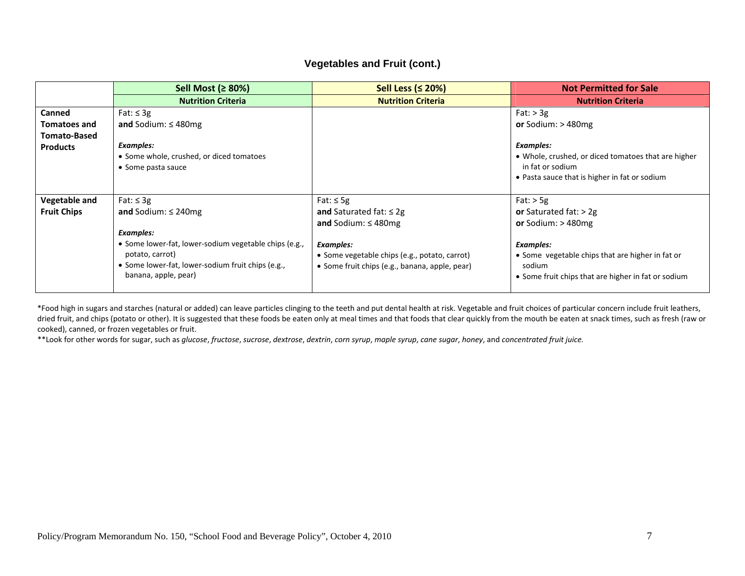### **Vegetables and Fruit (cont.)**

|                      | Sell Most ( $\geq 80\%$ )                             | Sell Less ( $\leq$ 20%)                        | <b>Not Permitted for Sale</b>                       |
|----------------------|-------------------------------------------------------|------------------------------------------------|-----------------------------------------------------|
|                      | <b>Nutrition Criteria</b>                             | <b>Nutrition Criteria</b>                      | <b>Nutrition Criteria</b>                           |
| <b>Canned</b>        | Fat: $\leq$ 3g                                        |                                                | Fat: $> 3g$                                         |
| <b>Tomatoes and</b>  | and Sodium: $\leq$ 480mg                              |                                                | or Sodium: $>$ 480mg                                |
| <b>Tomato-Based</b>  |                                                       |                                                |                                                     |
| <b>Products</b>      | <b>Examples:</b>                                      |                                                | Examples:                                           |
|                      | • Some whole, crushed, or diced tomatoes              |                                                | • Whole, crushed, or diced tomatoes that are higher |
|                      | • Some pasta sauce                                    |                                                | in fat or sodium                                    |
|                      |                                                       |                                                | • Pasta sauce that is higher in fat or sodium       |
|                      |                                                       |                                                |                                                     |
| <b>Vegetable and</b> | Fat: $\leq$ 3g                                        | Fat: $\leq$ 5g                                 | $Fat:$ > 5g                                         |
| <b>Fruit Chips</b>   | and Sodium: $\leq$ 240mg                              | and Saturated fat: $\leq 2g$                   | or Saturated fat: $>$ 2g                            |
|                      |                                                       | and Sodium: $\leq$ 480mg                       | or Sodium: $>$ 480mg                                |
|                      | Examples:                                             |                                                |                                                     |
|                      | • Some lower-fat, lower-sodium vegetable chips (e.g., | Examples:                                      | Examples:                                           |
|                      | potato, carrot)                                       | • Some vegetable chips (e.g., potato, carrot)  | • Some vegetable chips that are higher in fat or    |
|                      | • Some lower-fat, lower-sodium fruit chips (e.g.,     | • Some fruit chips (e.g., banana, apple, pear) | sodium                                              |
|                      | banana, apple, pear)                                  |                                                | • Some fruit chips that are higher in fat or sodium |
|                      |                                                       |                                                |                                                     |

\*Food high in sugars and starches (natural or added) can leave particles clinging to the teeth and put dental health at risk. Vegetable and fruit choices of particular concern include fruit leathers, dried fruit, and chips (potato or other). It is suggested that these foods be eaten only at meal times and that foods that clear quickly from the mouth be eaten at snack times, such as fresh (raw or cooked), canned, or frozen vegetables or fruit.

\*\*Look for other words for sugar, such as glucose, fructose, sucrose, dextrose, dextrin, corn syrup, maple syrup, cane sugar, honey, and concentrated fruit juice.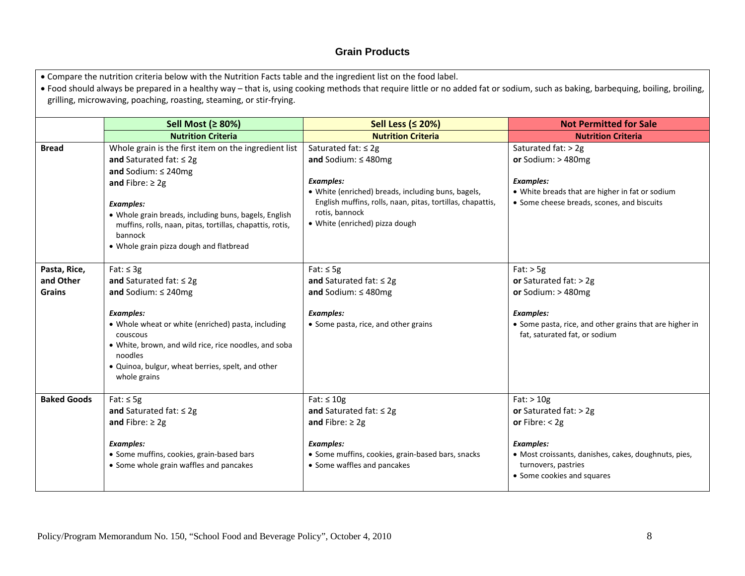#### **Grain Products**

• Compare the nutrition criteria below with the Nutrition Facts table and the ingredient list on the food label.

• Food should always be prepared in a healthy way – that is, using cooking methods that require little or no added fat or sodium, such as baking, barbequing, boiling, broiling, grilling, microwaving, poaching, roasting, steaming, or stir‐frying.

|                    | Sell Most (≥ 80%)                                                                                                  | Sell Less ( $\leq$ 20%)                                                                                          | <b>Not Permitted for Sale</b>                                                                 |
|--------------------|--------------------------------------------------------------------------------------------------------------------|------------------------------------------------------------------------------------------------------------------|-----------------------------------------------------------------------------------------------|
|                    | <b>Nutrition Criteria</b>                                                                                          | <b>Nutrition Criteria</b>                                                                                        | <b>Nutrition Criteria</b>                                                                     |
| <b>Bread</b>       | Whole grain is the first item on the ingredient list                                                               | Saturated fat: $\leq 2g$                                                                                         | Saturated fat: > 2g                                                                           |
|                    | and Saturated fat: $\leq 2g$                                                                                       | and Sodium: $\leq$ 480mg                                                                                         | or Sodium: $>$ 480mg                                                                          |
|                    | and Sodium: $\leq$ 240mg                                                                                           |                                                                                                                  |                                                                                               |
|                    | and Fibre: $\geq 2g$                                                                                               | <b>Examples:</b>                                                                                                 | <b>Examples:</b>                                                                              |
|                    |                                                                                                                    | · White (enriched) breads, including buns, bagels,<br>English muffins, rolls, naan, pitas, tortillas, chapattis, | • White breads that are higher in fat or sodium<br>• Some cheese breads, scones, and biscuits |
|                    | <b>Examples:</b>                                                                                                   | rotis, bannock                                                                                                   |                                                                                               |
|                    | · Whole grain breads, including buns, bagels, English<br>muffins, rolls, naan, pitas, tortillas, chapattis, rotis, | · White (enriched) pizza dough                                                                                   |                                                                                               |
|                    | bannock                                                                                                            |                                                                                                                  |                                                                                               |
|                    | • Whole grain pizza dough and flatbread                                                                            |                                                                                                                  |                                                                                               |
|                    |                                                                                                                    |                                                                                                                  |                                                                                               |
| Pasta, Rice,       | Fat: $\leq$ 3g                                                                                                     | Fat: $\leq$ 5g                                                                                                   | $Fat:$ > 5g                                                                                   |
| and Other          | and Saturated fat: $\leq 2g$                                                                                       | and Saturated fat: $\leq 2g$                                                                                     | or Saturated fat: $>$ 2g                                                                      |
| <b>Grains</b>      | and Sodium: $\leq$ 240mg                                                                                           | and Sodium: $\leq$ 480mg                                                                                         | or Sodium: $>$ 480mg                                                                          |
|                    |                                                                                                                    |                                                                                                                  |                                                                                               |
|                    | <b>Examples:</b>                                                                                                   | <b>Examples:</b>                                                                                                 | Examples:                                                                                     |
|                    | • Whole wheat or white (enriched) pasta, including<br>couscous                                                     | • Some pasta, rice, and other grains                                                                             | • Some pasta, rice, and other grains that are higher in<br>fat, saturated fat, or sodium      |
|                    | • White, brown, and wild rice, rice noodles, and soba                                                              |                                                                                                                  |                                                                                               |
|                    | noodles                                                                                                            |                                                                                                                  |                                                                                               |
|                    | · Quinoa, bulgur, wheat berries, spelt, and other                                                                  |                                                                                                                  |                                                                                               |
|                    | whole grains                                                                                                       |                                                                                                                  |                                                                                               |
| <b>Baked Goods</b> |                                                                                                                    |                                                                                                                  |                                                                                               |
|                    | Fat: $\leq$ 5g                                                                                                     | Fat: $\leq 10g$                                                                                                  | $Fat:$ > 10g                                                                                  |
|                    | and Saturated fat: $\leq 2g$                                                                                       | and Saturated fat: $\leq 2g$                                                                                     | or Saturated fat: $>$ 2g                                                                      |
|                    | and Fibre: $\geq 2g$                                                                                               | and Fibre: $\geq 2g$                                                                                             | or Fibre: $<$ 2g                                                                              |
|                    | <b>Examples:</b>                                                                                                   | Examples:                                                                                                        | <b>Examples:</b>                                                                              |
|                    | • Some muffins, cookies, grain-based bars                                                                          | • Some muffins, cookies, grain-based bars, snacks                                                                | • Most croissants, danishes, cakes, doughnuts, pies,                                          |
|                    | • Some whole grain waffles and pancakes                                                                            | • Some waffles and pancakes                                                                                      | turnovers, pastries                                                                           |
|                    |                                                                                                                    |                                                                                                                  | • Some cookies and squares                                                                    |
|                    |                                                                                                                    |                                                                                                                  |                                                                                               |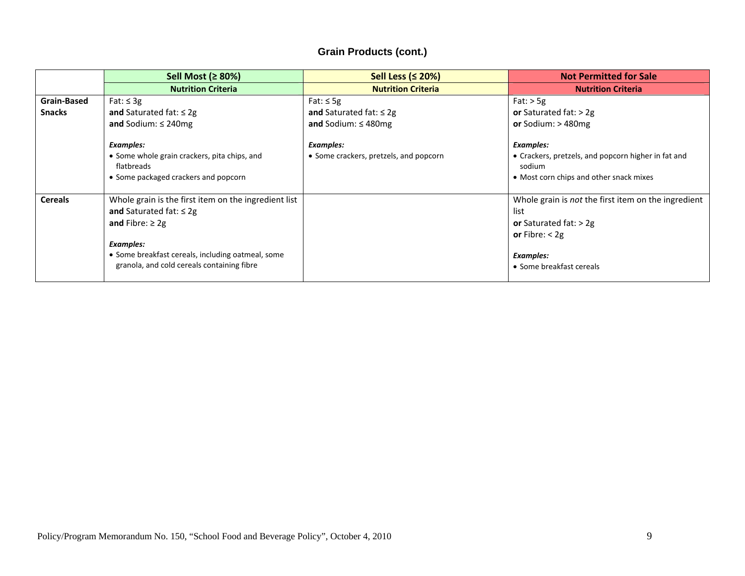# **Grain Products (cont.)**

|                    | Sell Most (≥ 80%)                                                                    | Sell Less ( $\leq$ 20%)                | <b>Not Permitted for Sale</b>                                 |
|--------------------|--------------------------------------------------------------------------------------|----------------------------------------|---------------------------------------------------------------|
|                    | <b>Nutrition Criteria</b>                                                            | <b>Nutrition Criteria</b>              | <b>Nutrition Criteria</b>                                     |
| <b>Grain-Based</b> | Fat: $\leq$ 3g                                                                       | Fat: $\leq$ 5g                         | Fat: $>$ 5g                                                   |
| <b>Snacks</b>      | and Saturated fat: $\leq 2g$                                                         | and Saturated fat: $\leq 2g$           | or Saturated fat: $> 2g$                                      |
|                    | and Sodium: $\leq$ 240mg                                                             | and Sodium: $\leq$ 480mg               | or Sodium: $>$ 480mg                                          |
|                    | <b>Examples:</b>                                                                     | Examples:                              | Examples:                                                     |
|                    | • Some whole grain crackers, pita chips, and<br>flatbreads                           | • Some crackers, pretzels, and popcorn | • Crackers, pretzels, and popcorn higher in fat and<br>sodium |
|                    | • Some packaged crackers and popcorn                                                 |                                        | • Most corn chips and other snack mixes                       |
| <b>Cereals</b>     | Whole grain is the first item on the ingredient list<br>and Saturated fat: $\leq 2g$ |                                        | Whole grain is not the first item on the ingredient<br>list   |
|                    | and Fibre: $\geq 2g$                                                                 |                                        | or Saturated fat: $>$ 2g                                      |
|                    |                                                                                      |                                        | or Fibre: $<$ 2g                                              |
|                    | <b>Examples:</b>                                                                     |                                        |                                                               |
|                    | • Some breakfast cereals, including oatmeal, some                                    |                                        | <b>Examples:</b>                                              |
|                    | granola, and cold cereals containing fibre                                           |                                        | • Some breakfast cereals                                      |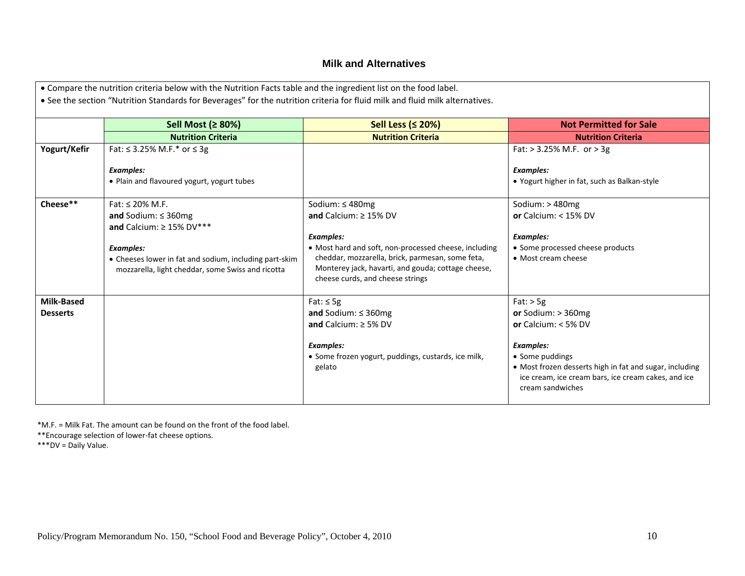#### **Milk and Alternatives**

|                   | Sell Most (≥ 80%)                                                                                                               | Sell Less (≤ 20%)                                                                                                                                                                                   | <b>Not Permitted for Sale</b>                                                                                                      |
|-------------------|---------------------------------------------------------------------------------------------------------------------------------|-----------------------------------------------------------------------------------------------------------------------------------------------------------------------------------------------------|------------------------------------------------------------------------------------------------------------------------------------|
|                   | <b>Nutrition Criteria</b>                                                                                                       | <b>Nutrition Criteria</b>                                                                                                                                                                           | <b>Nutrition Criteria</b>                                                                                                          |
| Yogurt/Kefir      | Fat: ≤ 3.25% M.F.* or ≤ 3g                                                                                                      |                                                                                                                                                                                                     | Fat: $> 3.25\%$ M.F. or $> 3g$                                                                                                     |
|                   | <b>Examples:</b>                                                                                                                |                                                                                                                                                                                                     | <b>Examples:</b>                                                                                                                   |
|                   | • Plain and flavoured yogurt, yogurt tubes                                                                                      |                                                                                                                                                                                                     | • Yogurt higher in fat, such as Balkan-style                                                                                       |
| Cheese**          | Fat: $\leq$ 20% M.F.                                                                                                            | Sodium: ≤480mg                                                                                                                                                                                      | Sodium: > 480mg                                                                                                                    |
|                   | and Sodium: $\leq$ 360mg<br>and Calcium: $\geq 15\%$ DV***                                                                      | and Calcium: $\geq$ 15% DV                                                                                                                                                                          | or Calcium: $<$ 15% DV                                                                                                             |
|                   |                                                                                                                                 | <b>Examples:</b>                                                                                                                                                                                    | <b>Examples:</b>                                                                                                                   |
|                   | <b>Examples:</b><br>• Cheeses lower in fat and sodium, including part-skim<br>mozzarella, light cheddar, some Swiss and ricotta | • Most hard and soft, non-processed cheese, including<br>cheddar, mozzarella, brick, parmesan, some feta,<br>Monterey jack, havarti, and gouda; cottage cheese,<br>cheese curds, and cheese strings | • Some processed cheese products<br>• Most cream cheese                                                                            |
| <b>Milk-Based</b> |                                                                                                                                 | Fat: $\leq$ 5g                                                                                                                                                                                      | $Fat:$ > 5g                                                                                                                        |
| <b>Desserts</b>   |                                                                                                                                 | and Sodium: $\leq$ 360mg                                                                                                                                                                            | or Sodium: $>$ 360mg                                                                                                               |
|                   |                                                                                                                                 | and Calcium: $\geq$ 5% DV                                                                                                                                                                           | or Calcium: $<$ 5% DV                                                                                                              |
|                   |                                                                                                                                 | Examples:                                                                                                                                                                                           | <b>Examples:</b>                                                                                                                   |
|                   |                                                                                                                                 | • Some frozen yogurt, puddings, custards, ice milk,                                                                                                                                                 | • Some puddings                                                                                                                    |
|                   |                                                                                                                                 | gelato                                                                                                                                                                                              | • Most frozen desserts high in fat and sugar, including<br>ice cream, ice cream bars, ice cream cakes, and ice<br>cream sandwiches |

\*M.F. <sup>=</sup> Milk Fat. The amount can be found on the front of the food label.

\*\*Encourage selection of lower‐fat cheese options.

\*\*\*DV <sup>=</sup> Daily Value.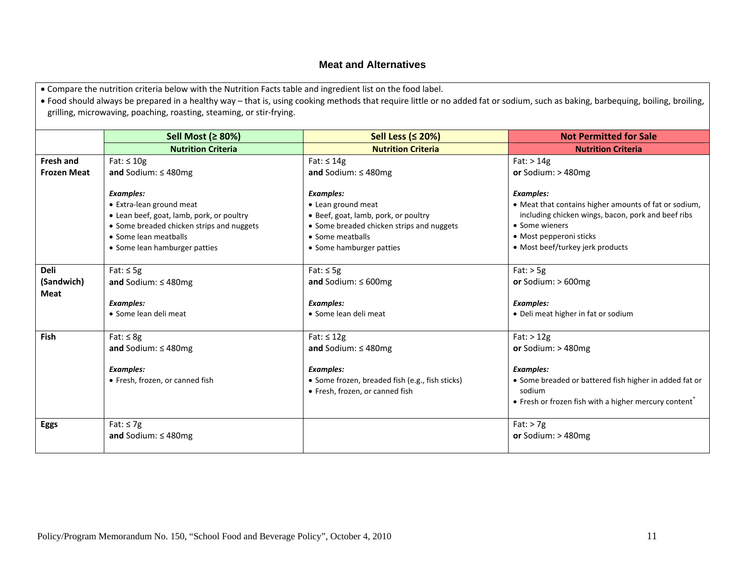### **Meat and Alternatives**

• Compare the nutrition criteria below with the Nutrition Facts table and ingredient list on the food label.

• Food should always be prepared in a healthy way – that is, using cooking methods that require little or no added fat or sodium, such as baking, barbequing, boiling, broiling, grilling, microwaving, poaching, roasting, steaming, or stir‐frying.

|                    | Sell Most (≥ 80%)                         | Sell Less (≤ 20%)                               | <b>Not Permitted for Sale</b>                                     |
|--------------------|-------------------------------------------|-------------------------------------------------|-------------------------------------------------------------------|
|                    | <b>Nutrition Criteria</b>                 | <b>Nutrition Criteria</b>                       | <b>Nutrition Criteria</b>                                         |
| <b>Fresh and</b>   | Fat: $\leq 10g$                           | Fat: $\leq 14g$                                 | $Fat:$ > 14g                                                      |
| <b>Frozen Meat</b> | and Sodium: $\leq$ 480mg                  | and Sodium: $\leq$ 480mg                        | or Sodium: $>$ 480mg                                              |
|                    |                                           |                                                 |                                                                   |
|                    | <b>Examples:</b>                          | Examples:                                       | <b>Examples:</b>                                                  |
|                    | • Extra-lean ground meat                  | • Lean ground meat                              | • Meat that contains higher amounts of fat or sodium,             |
|                    | • Lean beef, goat, lamb, pork, or poultry | · Beef, goat, lamb, pork, or poultry            | including chicken wings, bacon, pork and beef ribs                |
|                    | • Some breaded chicken strips and nuggets | • Some breaded chicken strips and nuggets       | • Some wieners                                                    |
|                    | • Some lean meatballs                     | • Some meatballs                                | • Most pepperoni sticks                                           |
|                    | • Some lean hamburger patties             | • Some hamburger patties                        | • Most beef/turkey jerk products                                  |
|                    |                                           |                                                 |                                                                   |
| <b>Deli</b>        | Fat: $\leq$ 5g                            | Fat: $\leq$ 5g                                  | $Fat:$ > 5g                                                       |
| (Sandwich)         | and Sodium: $\leq$ 480mg                  | and Sodium: $\leq 600$ mg                       | or Sodium: $>600$ mg                                              |
| <b>Meat</b>        |                                           |                                                 |                                                                   |
|                    | <b>Examples:</b>                          | <b>Examples:</b>                                | <b>Examples:</b>                                                  |
|                    | • Some lean deli meat                     | • Some lean deli meat                           | • Deli meat higher in fat or sodium                               |
|                    |                                           |                                                 |                                                                   |
| <b>Fish</b>        | Fat: $\leq 8g$                            | Fat: $\leq$ 12g                                 | $Fat:$ > 12g                                                      |
|                    | and Sodium: $\leq$ 480mg                  | and Sodium: $\leq$ 480mg                        | or Sodium: $>$ 480mg                                              |
|                    |                                           |                                                 |                                                                   |
|                    | <b>Examples:</b>                          | <b>Examples:</b>                                | <b>Examples:</b>                                                  |
|                    | • Fresh, frozen, or canned fish           | • Some frozen, breaded fish (e.g., fish sticks) | • Some breaded or battered fish higher in added fat or            |
|                    |                                           | • Fresh, frozen, or canned fish                 | sodium                                                            |
|                    |                                           |                                                 | • Fresh or frozen fish with a higher mercury content <sup>®</sup> |
|                    |                                           |                                                 |                                                                   |
| <b>Eggs</b>        | Fat: $\leq 7g$                            |                                                 | $Fat:$ > 7g                                                       |
|                    | and Sodium: $\leq$ 480mg                  |                                                 | or Sodium: $>$ 480mg                                              |
|                    |                                           |                                                 |                                                                   |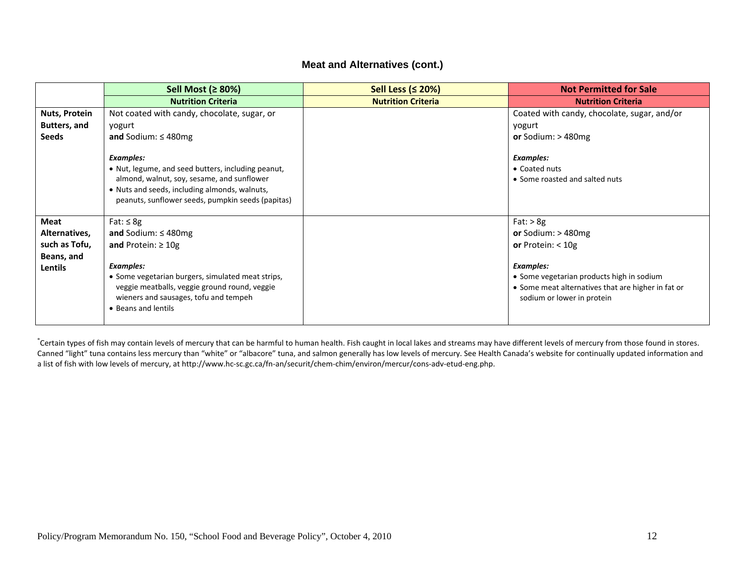#### **Meat and Alternatives (cont.)**

|                     | Sell Most (≥ 80%)                                                                                                                                                                                                          | Sell Less ( $\leq$ 20%)   | <b>Not Permitted for Sale</b>                                                                                                 |
|---------------------|----------------------------------------------------------------------------------------------------------------------------------------------------------------------------------------------------------------------------|---------------------------|-------------------------------------------------------------------------------------------------------------------------------|
|                     | <b>Nutrition Criteria</b>                                                                                                                                                                                                  | <b>Nutrition Criteria</b> | <b>Nutrition Criteria</b>                                                                                                     |
| Nuts, Protein       | Not coated with candy, chocolate, sugar, or                                                                                                                                                                                |                           | Coated with candy, chocolate, sugar, and/or                                                                                   |
| <b>Butters, and</b> | yogurt                                                                                                                                                                                                                     |                           | yogurt                                                                                                                        |
| <b>Seeds</b>        | and Sodium: $\leq$ 480mg                                                                                                                                                                                                   |                           | or Sodium: $>$ 480mg                                                                                                          |
|                     | <b>Examples:</b><br>• Nut, legume, and seed butters, including peanut,<br>almond, walnut, soy, sesame, and sunflower<br>• Nuts and seeds, including almonds, walnuts,<br>peanuts, sunflower seeds, pumpkin seeds (papitas) |                           | <b>Examples:</b><br>• Coated nuts<br>• Some roasted and salted nuts                                                           |
| <b>Meat</b>         | Fat: $\leq 8g$                                                                                                                                                                                                             |                           | Fat: $> 8g$                                                                                                                   |
| Alternatives,       | and Sodium: $\leq$ 480mg                                                                                                                                                                                                   |                           | or Sodium: $>$ 480mg                                                                                                          |
| such as Tofu,       | and Protein: $\geq 10g$                                                                                                                                                                                                    |                           | or Protein: $<$ 10g                                                                                                           |
| Beans, and          |                                                                                                                                                                                                                            |                           |                                                                                                                               |
| <b>Lentils</b>      | <b>Examples:</b>                                                                                                                                                                                                           |                           | <b>Examples:</b>                                                                                                              |
|                     | • Some vegetarian burgers, simulated meat strips,<br>veggie meatballs, veggie ground round, veggie<br>wieners and sausages, tofu and tempeh<br>• Beans and lentils                                                         |                           | • Some vegetarian products high in sodium<br>• Some meat alternatives that are higher in fat or<br>sodium or lower in protein |

\*Certain types of fish may contain levels of mercury that can be harmful to human health. Fish caught in local lakes and streams may have different levels of mercury from those found in stores. Canned "light" tuna contains less mercury than "white" or "albacore" tuna, and salmon generally has low levels of mercury. See Health Canada's website for continually updated information and a list of fish with low levels of mercury, at http://www.hc‐sc.gc.ca/fn‐an/securit/chem‐chim/environ/mercur/cons‐adv‐etud‐eng.php.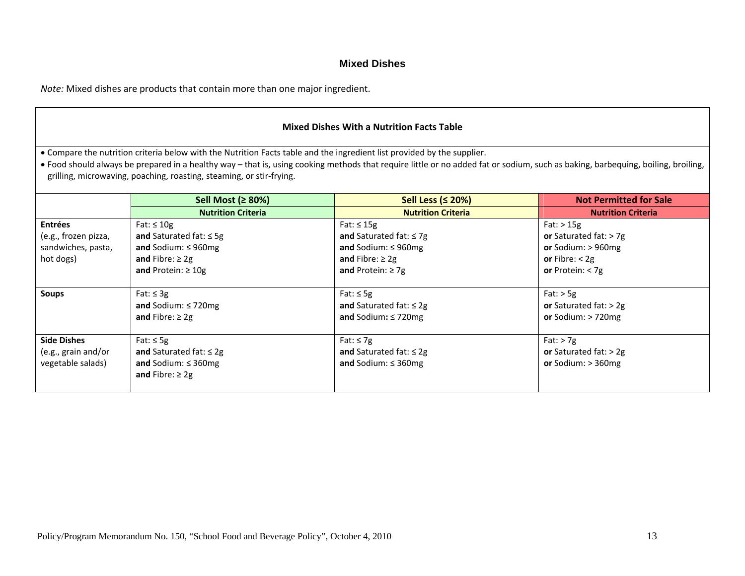#### **Mixed Dishes**

*Note:* Mixed dishes are products that contain more than one major ingredient.

| <b>Mixed Dishes With a Nutrition Facts Table</b>                                                                        |                                                                      |                                                                                                                                                                                            |                               |
|-------------------------------------------------------------------------------------------------------------------------|----------------------------------------------------------------------|--------------------------------------------------------------------------------------------------------------------------------------------------------------------------------------------|-------------------------------|
| . Compare the nutrition criteria below with the Nutrition Facts table and the ingredient list provided by the supplier. |                                                                      |                                                                                                                                                                                            |                               |
|                                                                                                                         | grilling, microwaving, poaching, roasting, steaming, or stir-frying. | • Food should always be prepared in a healthy way – that is, using cooking methods that require little or no added fat or sodium, such as baking, barbequing, boiling, broiling, broiling, |                               |
|                                                                                                                         | Sell Most (≥ 80%)                                                    | Sell Less ( $\leq$ 20%)                                                                                                                                                                    | <b>Not Permitted for Sale</b> |
|                                                                                                                         | <b>Nutrition Criteria</b>                                            | <b>Nutrition Criteria</b>                                                                                                                                                                  | <b>Nutrition Criteria</b>     |
| <b>Entrées</b>                                                                                                          | Fat: $\leq 10g$                                                      | Fat: $\leq$ 15g                                                                                                                                                                            | $Fat:$ > 15g                  |
| (e.g., frozen pizza,                                                                                                    | and Saturated fat: $\leq$ 5g                                         | and Saturated fat: $\leq 7g$                                                                                                                                                               | or Saturated fat: $> 7g$      |
| sandwiches, pasta,                                                                                                      | and Sodium: $\leq$ 960mg                                             | and Sodium: $\leq$ 960mg                                                                                                                                                                   | or Sodium: $> 960$ mg         |
| hot dogs)                                                                                                               | and Fibre: $\geq$ 2g                                                 | and Fibre: $\geq 2g$                                                                                                                                                                       | or Fibre: $<$ 2g              |
|                                                                                                                         | and Protein: $\geq 10g$                                              | and Protein: $\geq$ 7g                                                                                                                                                                     | or Protein: $<$ 7g            |
| <b>Soups</b>                                                                                                            | Fat: $\leq$ 3g                                                       | Fat: $\leq$ 5g                                                                                                                                                                             | $Fat:$ > 5g                   |
|                                                                                                                         | and Sodium: $\leq$ 720mg                                             | and Saturated fat: $\leq 2g$                                                                                                                                                               | or Saturated fat: $>$ 2g      |
|                                                                                                                         | and Fibre: $\geq 2g$                                                 | and Sodium: $\leq$ 720mg                                                                                                                                                                   | or Sodium: $> 720$ mg         |
| <b>Side Dishes</b>                                                                                                      | Fat: $\leq$ 5g                                                       | Fat: $\leq$ 7g                                                                                                                                                                             | $Fat:$ > 7g                   |
| (e.g., grain and/or                                                                                                     | and Saturated fat: $\leq 2g$                                         | and Saturated fat: $\leq 2g$                                                                                                                                                               | or Saturated fat: $>$ 2g      |
| vegetable salads)                                                                                                       | and Sodium: $\leq$ 360mg<br>and Fibre: $\geq$ 2g                     | and Sodium: $\leq$ 360mg                                                                                                                                                                   | or Sodium: $>$ 360mg          |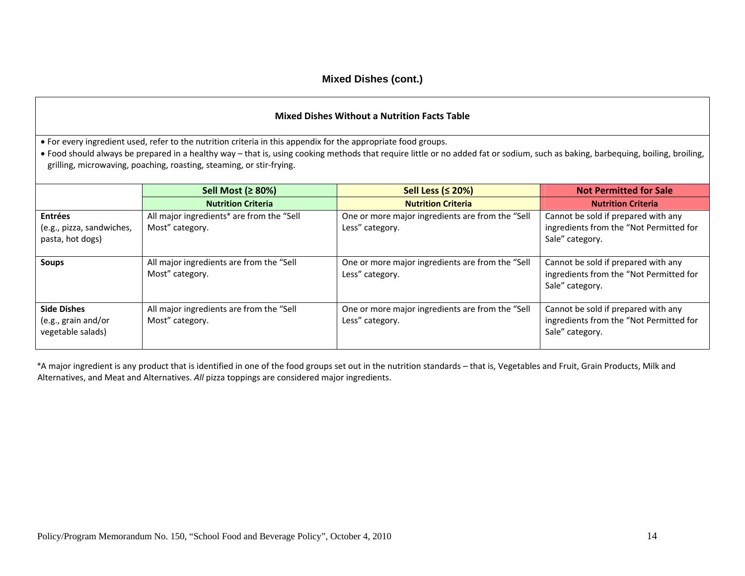#### **Mixed Dishes Without <sup>a</sup> Nutrition Facts Table**

• For every ingredient used, refer to the nutrition criteria in this appendix for the appropriate food groups.

• Food should always be prepared in a healthy way – that is, using cooking methods that require little or no added fat or sodium, such as baking, barbequing, boiling, broiling, grilling, microwaving, poaching, roasting, steaming, or stir‐frying.

|                                                                 | Sell Most ( $\geq 80\%$ )                                                | Sell Less ( $\leq$ 20%)                                             | <b>Not Permitted for Sale</b>                                                                     |
|-----------------------------------------------------------------|--------------------------------------------------------------------------|---------------------------------------------------------------------|---------------------------------------------------------------------------------------------------|
|                                                                 | <b>Nutrition Criteria</b>                                                | <b>Nutrition Criteria</b>                                           | <b>Nutrition Criteria</b>                                                                         |
| <b>Entrées</b><br>(e.g., pizza, sandwiches,<br>pasta, hot dogs) | All major ingredients <sup>*</sup> are from the "Sell<br>Most" category. | One or more major ingredients are from the "Sell<br>Less" category. | Cannot be sold if prepared with any<br>ingredients from the "Not Permitted for<br>Sale" category. |
| <b>Soups</b>                                                    | All major ingredients are from the "Sell<br>Most" category.              | One or more major ingredients are from the "Sell<br>Less" category. | Cannot be sold if prepared with any<br>ingredients from the "Not Permitted for<br>Sale" category. |
| <b>Side Dishes</b><br>(e.g., grain and/or<br>vegetable salads)  | All major ingredients are from the "Sell<br>Most" category.              | One or more major ingredients are from the "Sell<br>Less" category. | Cannot be sold if prepared with any<br>ingredients from the "Not Permitted for<br>Sale" category. |

\*A major ingredient is any product that is identified in one of the food groups set out in the nutrition standards – that is, Vegetables and Fruit, Grain Products, Milk and Alternatives, and Meat and Alternatives. *All* pizza toppings are considered major ingredients.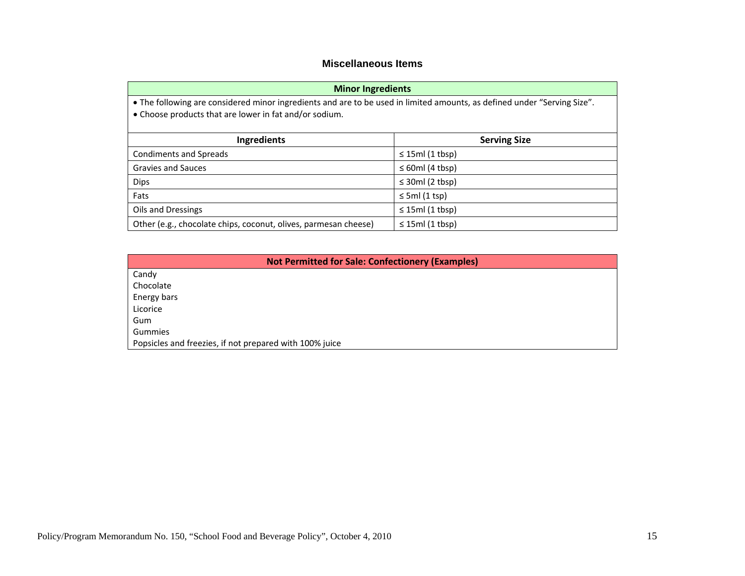#### **Miscellaneous Items**

| <b>Minor Ingredients</b>                                                                                                                                                           |                       |  |  |
|------------------------------------------------------------------------------------------------------------------------------------------------------------------------------------|-----------------------|--|--|
| • The following are considered minor ingredients and are to be used in limited amounts, as defined under "Serving Size".<br>• Choose products that are lower in fat and/or sodium. |                       |  |  |
| <b>Ingredients</b>                                                                                                                                                                 | <b>Serving Size</b>   |  |  |
| Condiments and Spreads                                                                                                                                                             | $\leq$ 15ml (1 tbsp)  |  |  |
| <b>Gravies and Sauces</b>                                                                                                                                                          | $\leq 60$ ml (4 tbsp) |  |  |
| <b>Dips</b>                                                                                                                                                                        | $\leq$ 30ml (2 tbsp)  |  |  |
| Fats                                                                                                                                                                               | $\leq$ 5ml (1 tsp)    |  |  |
| Oils and Dressings                                                                                                                                                                 | $\leq$ 15ml (1 tbsp)  |  |  |
| Other (e.g., chocolate chips, coconut, olives, parmesan cheese)                                                                                                                    | $\leq$ 15ml (1 tbsp)  |  |  |

| <b>Not Permitted for Sale: Confectionery (Examples)</b> |
|---------------------------------------------------------|
| Candy                                                   |
| Chocolate                                               |
| Energy bars                                             |
| Licorice                                                |
| Gum                                                     |
| Gummies                                                 |
| Popsicles and freezies, if not prepared with 100% juice |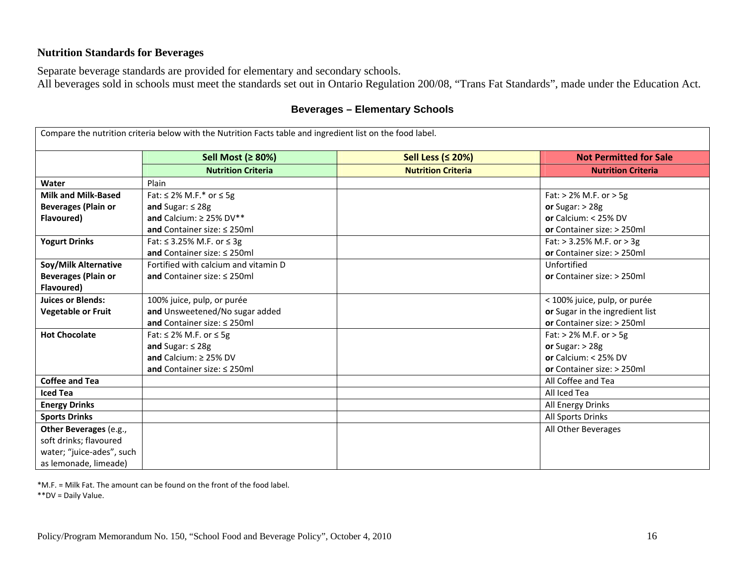# **Nutrition Standards for Beverages**

Separate beverage standards are provided for elementary and secondary schools.

All beverages sold in schools must meet the standards set out in Ontario Regulation 200/08, "Trans Fat Standards", made under the Education Act.

|                            | Compare the nutrition criteria below with the Nutrition Facts table and ingredient list on the food label. |                           |                                 |
|----------------------------|------------------------------------------------------------------------------------------------------------|---------------------------|---------------------------------|
|                            | Sell Most (≥ 80%)                                                                                          | Sell Less ( $\leq$ 20%)   | <b>Not Permitted for Sale</b>   |
|                            | <b>Nutrition Criteria</b>                                                                                  | <b>Nutrition Criteria</b> | <b>Nutrition Criteria</b>       |
| Water                      | Plain                                                                                                      |                           |                                 |
| <b>Milk and Milk-Based</b> | Fat: $\leq$ 2% M.F.* or $\leq$ 5g                                                                          |                           | Fat: $> 2\%$ M.F. or $> 5g$     |
| <b>Beverages (Plain or</b> | and Sugar: $\leq 28g$                                                                                      |                           | or Sugar: $>$ 28g               |
| Flavoured)                 | and Calcium: $\geq$ 25% DV**                                                                               |                           | or Calcium: $< 25\%$ DV         |
|                            | and Container size: $\leq$ 250ml                                                                           |                           | or Container size: > 250ml      |
| <b>Yogurt Drinks</b>       | Fat: ≤ 3.25% M.F. or ≤ 3g                                                                                  |                           | Fat: $> 3.25\%$ M.F. or $> 3g$  |
|                            | and Container size: $\leq$ 250ml                                                                           |                           | or Container size: > 250ml      |
| Soy/Milk Alternative       | Fortified with calcium and vitamin D                                                                       |                           | Unfortified                     |
| <b>Beverages (Plain or</b> | and Container size: $\leq$ 250ml                                                                           |                           | or Container size: > 250ml      |
| Flavoured)                 |                                                                                                            |                           |                                 |
| <b>Juices or Blends:</b>   | 100% juice, pulp, or purée                                                                                 |                           | < 100% juice, pulp, or purée    |
| <b>Vegetable or Fruit</b>  | and Unsweetened/No sugar added                                                                             |                           | or Sugar in the ingredient list |
|                            | and Container size: $\leq$ 250ml                                                                           |                           | or Container size: > 250ml      |
| <b>Hot Chocolate</b>       | Fat: $\leq$ 2% M.F. or $\leq$ 5g                                                                           |                           | Fat: $> 2\%$ M.F. or $> 5g$     |
|                            | and Sugar: $\leq$ 28g                                                                                      |                           | or Sugar: $>$ 28g               |
|                            | and Calcium: $\geq$ 25% DV                                                                                 |                           | or Calcium: $< 25\%$ DV         |
|                            | and Container size: $\leq$ 250ml                                                                           |                           | or Container size: > 250ml      |
| <b>Coffee and Tea</b>      |                                                                                                            |                           | All Coffee and Tea              |
| <b>Iced Tea</b>            |                                                                                                            |                           | All Iced Tea                    |
| <b>Energy Drinks</b>       |                                                                                                            |                           | All Energy Drinks               |
| <b>Sports Drinks</b>       |                                                                                                            |                           | All Sports Drinks               |
| Other Beverages (e.g.,     |                                                                                                            |                           | All Other Beverages             |
| soft drinks; flavoured     |                                                                                                            |                           |                                 |
| water; "juice-ades", such  |                                                                                                            |                           |                                 |
| as lemonade, limeade)      |                                                                                                            |                           |                                 |

### **Beverages – Elementary Schools**

\*M.F. <sup>=</sup> Milk Fat. The amount can be found on the front of the food label.

\*\*DV <sup>=</sup> Daily Value.